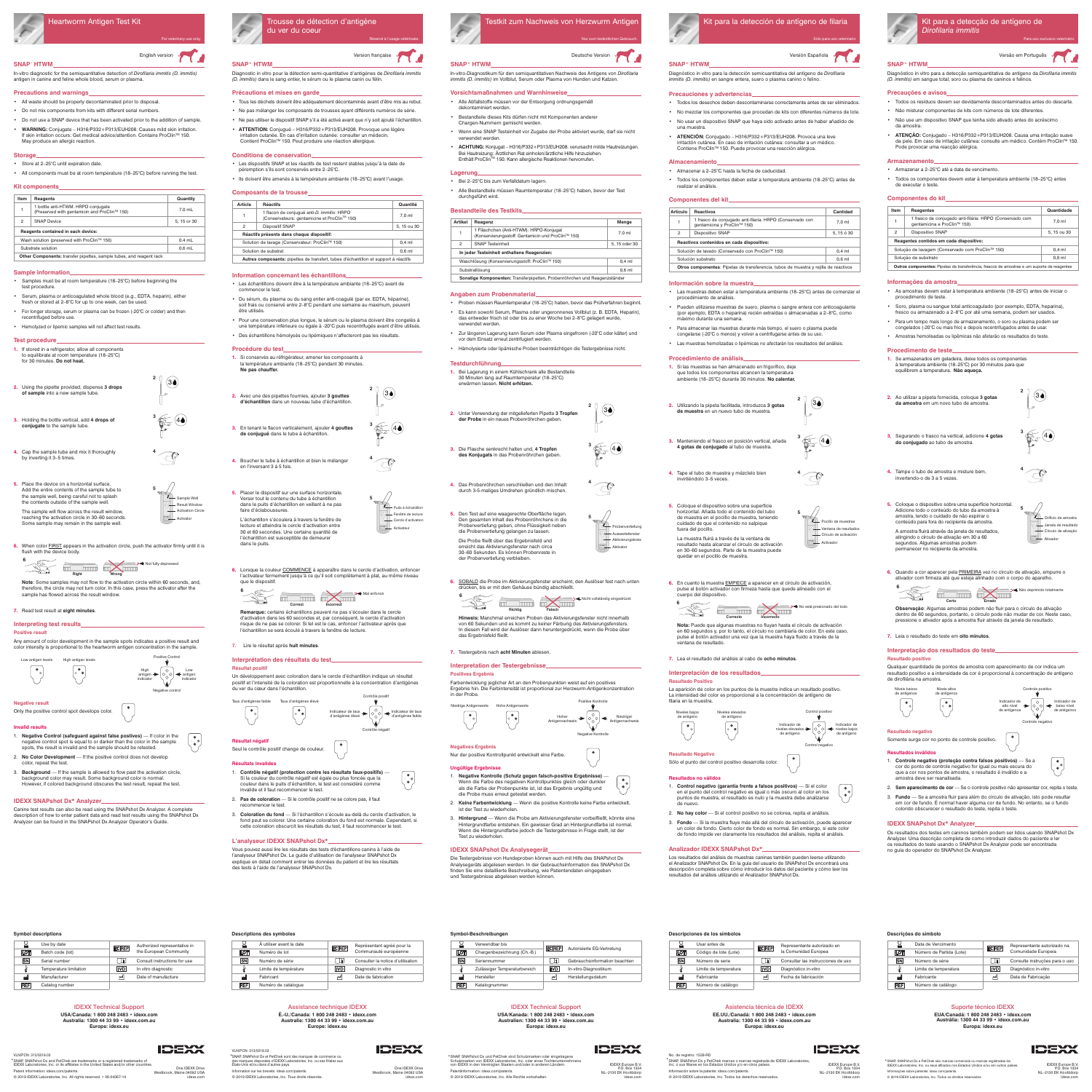## **SNAP**\*  **HTWM**

In-vitro diagnostic for the semiquantitative detection of *Dirofilaria immitis (D. immitis)* antigen in canine and feline whole blood, serum or plasma.

#### **Precautions and warnings**

- All waste should be properly decontaminated prior to disposal.
- Do not mix components from kits with different serial numbers.
- Do not use a SNAP device that has been activated prior to the addition of sample.
- **WARNING:** Conjugate H316/P332+P313/EUH208. Causes mild skin irritation. If skin irritation occurs: Get medical advice/attention. Contains ProClin<sup>™</sup> 150. May produce an allergic reaction.

### **Storage**

- Store at 2–25°C until expiration date.
- All components must be at room temperature (18–25°C) before running the test.

### **Kit components**

**1.** If stored in a refrigerator, allow all components to equilibrate at room temperature (18–25°C) for 30 minutes. **Do not heat.**

- **3.** Holding the bottle vertical, add **4 drops of conjugate** to the sample tube.
- **4.** Cap the sample tube and mix it thoroughly by inverting it 3–5 times.
- **5.** Place the device on a horizontal surface. Add the entire contents of the sample tube to the sample well, being careful not to splash the contents outside of the sample well
- The sample will flow across the result window, reaching the activation circle in 30–60 seconds. Some sample may remain in the sample well.
- **6.** When color FIRST appears in the activation circle, push the activator firmly until it is flush with the device body

Activator

Sample Well **Activation Circle Result Window** 

| Item           | Reagents                                                                           | Quantity   |
|----------------|------------------------------------------------------------------------------------|------------|
| 1              | 1 bottle anti-HTWM: HRPO conjugate<br>(Preserved with gentamicin and ProClin™ 150) | $7.0$ mL   |
| $\overline{2}$ | <b>SNAP Device</b>                                                                 | 5.15 or 30 |
|                | Reagents contained in each device:                                                 |            |
|                | Wash solution (preserved with ProClin™ 150)                                        | $0.4$ mL   |
|                | Substrate solution                                                                 | $0.6$ mL   |
|                | Other Components: transfer pipettes, sample tubes, and reagent rack                |            |

#### **Sample information**

- Samples must be at room temperature (18–25°C) before beginning the test procedure.
- Serum, plasma or anticoagulated whole blood (e.g., EDTA, heparin), either fresh or stored at 2–8°C for up to one week, can be used
- For longer storage, serum or plasma can be frozen (-20°C or colder) and then recentrifuged before use.
- Hemolyzed or lipemic samples will not affect test results.

#### **Test procedure**



**Note**: Some samples may not flow to the activation circle within 60 seconds, and, therefore, the circle may not turn color. In this case, press the activator after the sample has flowed across the result window.

**7.** Read test result at **eight minutes**.

### **Interpreting test results**

One **IDEXX** Driv Westbrook, Maine 04092 USA idexx.com

**IDEXX** 

One **IDEXX** Driv Westbrook, Maine 04092 USA idexx.com

**IDEXX** 

#### Verwendbar bis<br>
Chargenbezeichnung (Ch.-B.)<br>
Chargenbezeichnung (Ch.-B.) LOT  $\overline{a}$

#### **Negative result** Only the positive control spot develops color.

#### **Invalid results**

- 1. **Negative Control (safeguard against false postives)**  If color in the negative control spot is equal to or darker than the color in the sample spots, the result is invalid and the sample should be retested.
- 2. **No Color Development** If the positive control does not develop color, repeat the test.
- 3. **Background**  If the sample is allowed to flow past the activation circle, background color may result. Some background color is normal. However, if colored background obscures the test result, repeat the test.

#### **IDEXX SNAPshot Dx\* Analyzer**

Canine test results can also be read using the SNAPshot Dx Analyzer. A complete description of how to enter patient data and read test results using the SNAPshot Dx Analyzer can be found in the SNAPshot Dx Analyzer Operator's Guide.



#### **Symbol descriptions**

| 닝          | Use by date            | <b>ECREP</b> | Authorized representative in |
|------------|------------------------|--------------|------------------------------|
| LOT        | Batch code (lot)       |              | the European Community       |
| <b>SN</b>  | Serial number          | - H          | Consult instructions for use |
| ł          | Temperature limitation | <b>IVD</b>   | In vitro diagnostic          |
| اس         | Manufacturer           | мI           | Date of manufacture          |
| <b>REF</b> | Catalog number         |              |                              |

#### **Descriptions des symboles**

- Tous les déchets doivent être adéquatement décontaminés avant d'être mis au rebut.
- Ne pas mélanger les composants de trousses ayant différents numéros de série.
- Ne pas utiliser le dispositif SNAP s'il a été activé avant que n'y soit ajouté l'échantillon.
- **ATTENTION:** Conjugué H316/P332+P313/EUH208. Provoque une légère irritation cutanée. En cas d'irritation cutanée: consulter un médecin. Contient ProClin™ 150. Peut produire une réaction allergique.

|            | À utiliser avant la date | <b>ECREP</b> | Représentant agréé pour la        |
|------------|--------------------------|--------------|-----------------------------------|
| <b>LOT</b> | Numéro de lot            |              | Communauté européenne             |
| <b>SN</b>  | Numéro de série          | ⊺ i i        | Consulter la notice d'utilisation |
|            | Limite de température    | IVD.         | Diagnostic in vitro               |
| اس         | Fabricant                | ᄴ            | Date de fabrication               |
| REF        | Numéro de catalogue      |              |                                   |

**Symbol-Beschreibungen**

| <b>SN</b>  | Seriennummer                 |       | Gebrauchsinformation beachten |
|------------|------------------------------|-------|-------------------------------|
|            | Zulässiger Temperaturbereich | livdi | In-vitro-Diagnostikum         |
| لىم        | Hersteller                   | الس   | Herstellungsdatum             |
| <b>REF</b> | Katalognummer                |       |                               |

**Descripciones de los símbolos**

**LOT** 

 $\overline{\text{SN}}$ 

اس **REF** 

Número de catálogo

**IDEXX** 

**Descrições do símbolo**



# English version Version in the state of the state of the state of the state of the state of the state of the state of the state of the state of the state of the state of the state of the state of the state of the state of

|            | Data de Vencimento       | <b>ECREP</b> | Representante autorizado na    |
|------------|--------------------------|--------------|--------------------------------|
| LOT        | Número de Partida (Lote) |              | Comunidade Europeia            |
| SN         | Número de série          | Τī           | Consulte instruções para o uso |
| ł          | Limite de temperatura    | <b>IVD</b>   | Diagnóstico in-vitro           |
| اسم        | Fabricante               | ᆐ            | Data de Fabricação             |
| <b>REF</b> | Número de catálogo       |              |                                |
|            |                          |              |                                |

#### VLN/PCN: 313/5018.03

\* SNAP, SNAPshot Dx and PetChek are trademarks or a registered trademarks of IDEXX Laboratories, Inc. or its affiliates in the United States and/or other countries.

Patent information: idexx.com/patents. © 2019 IDEXX Laboratories, Inc. All rights reserved. • 06-04367-14

#### IDEXX Technical Support

**USA/Canada: 1 800 248 2483 • idexx.com Australia: 1300 44 33 99 • idexx.com.au Europe: idexx.eu**

### IDEXX Technical Support

**USA/Kanada: 1 800 248 2483 • idexx.com Australien: 1300 44 33 99 • idexx.com.au Europa: idexx.eu**

Asistencia técnica de IDEXX **EE.UU./Canadá: 1 800 248 2483 • idexx.com**

**Australia: 1300 44 33 99 • idexx.com.au Europa: idexx.eu**

derechos reservados.

#### Suporte técnico IDEXX

**EUA/Canadá: 1 800 248 2483 • idexx.com Austrália: 1300 44 33 99 • idexx.com.au Europa: idexx.eu**



\*SNAP, SNAPshot Dx e PetChek são marcas comerciais ou marcas registradas da segunda de IDEXX Laboratories, inc. ou servente a marcas comerciais ou marcas registradas da segunda de IDEXX Laboratories, inc. ou seus afiliados

*Dirofilaria immitis*



#### Assistance technique IDEXX

**É.-U./Canada: 1 800 248 2483 • idexx.com Australie: 1300 44 33 99 • idexx.com.au Europe: idexx.eu**

- Alle Abfallstoffe müssen vor der Entsorgung ordnungsgemäß dekontaminiert werden.
- Bestandteile dieses Kits dürfen nicht mit Komponenten anderer Chargen-Nummern gemischt werden.
- Wenn eine SNAP Testeinheit vor Zugabe der Probe aktiviert wurde, darf sie nicht verwendet werder
- **ACHTUNG:** Konjugat H316/P332+P313/EUH208. verursacht milde Hautreizungen. Bei Hautreizung: Ärztlichen Rat einholen/ärztliche Hilfe hinzuziehen. Enthält ProClin™ 150. Kann allergische Reaktionen hervorrufen.

#### VLN/PCN: 313/5018.03 SNAP, SNAPshot Dx et PetChek sont des marques de commerce ou \*

des marques disposées d'IDEXX Laboratories, Inc. ou ses filiales aux États-Unis et/ou dans d'autres pays. Information sur les brevets: idexx.com/patents. © 2019 IDEXX Laboratories, Inc. Tous droits réservés.

IDEXX Europe B.V. P.O. Box 1334 NL–2130 EK Hoofddorp idexx.com IDEXX Europe B.V. P.O. Box 1334

NL-2130 EK Hoo

idexx.cor

IDEXX Europe B.V. P.O. Box 1334

NL–2130 EK Hoofddorp idexx.com

SNAP, SNAPshot Dx und PetChek sind Schutzmarken oder eingetragene \* No. de registro: 1529-RD Schutzmarken von IDEXX Laboratories, Inc. oder eines Tochterunternehmens von IDEXX in den Vereinigten Staaten und/oder in anderen Ländern.

Patentinformation: idexx.com/patents. © 2019 IDEXX Laboratories, Inc. Alle Rechte vorbehalten. SNAP, SNAPshot Dx y PetChek marcas o marcas registrada de IDEXX Laboratories, Inc. o sus filiares en los Estados Unidos y/o en otros países.

| OIVAL, OIVAL SHULDA VIE CUHER HIGHCGS O HIGHCG.<br>Inc. o sus filiares en los Estados Unidos y/o en o |
|-------------------------------------------------------------------------------------------------------|
| Información sobre la patente: idexx.com/patents.                                                      |
| © 2019 IDEXX Laboratories, Inc. Todos los dere                                                        |

- **Positive result** Any amount of color development in the sample spots indicates a positive result and
- color intensity is proportional to the heartworm antigen concentration in the sample. Low antigen levels High antigen levels Positive Control

Informações sobre patentes: idexx.com/patents. © 2019 IDEXX Laboratories, Inc. Todos os direitos reservados.

**5**

**2**

 $\circledast$ 

 $3 \bigoplus 4$ 

**4**



**SNAP**\* **HTWM** Diagnostic in vitro pour la détection semi-quantitative d'antigènes de *Dirofilaria immitis (D. immitis)* dans le sang entier, le sérum ou le plasma canin ou félin.

#### **Précautions et mises en garde**

#### Deutsche Version Version Version Española Versión Española Versión Española Version Española Version em Português **SNAP**\* **HTWM**

#### **Conditions de conservation**

- Les dispositifs SNAP et les réactifs de test restent stables jusqu'à la date de péremption s'ils sont conservés entre 2–25°C.
- Ils doivent être amenés à la température ambiante (18–25°C) avant l'usage.

#### **Composants de la trousse**

| Article | <b>Réactifs</b>                                                                            | Quantité   |
|---------|--------------------------------------------------------------------------------------------|------------|
|         | 1 flacon de conjugué anti-D. immitis: HRPO<br>(Conservateurs: gentamicine et ProClin™ 150) | 7.0 ml     |
| 2       | <b>Dispositif SNAP</b>                                                                     | 5.15 ou 30 |
|         | Réactifs présents dans chaque dispositif:                                                  |            |
|         | Solution de lavage (Conservateur: ProClin™ 150)                                            | $0.4$ ml   |
|         | Solution de substrat                                                                       | $0,6$ ml   |
|         | Autres composants: pipettes de transfert, tubes d'échantillon et support à réactifs        |            |

Solución de lavado (Conservado con ProClin<sup>™</sup> 150) 0,4 ml Solución substrato  $0,6 \text{ ml}$ **Otros componentes**: Pipetas de transferencia, tubos de muestra y rejilla de reactivos

#### **Information concernant les échantillons**

- Les échantillons doivent être à la température ambiante (18–25°C) avant de commencer le test. • Du sérum, du plasma ou du sang entier anti-coagulé (par ex. EDTA, héparine),
- soit frais ou conservé entre 2–8°C pendant une semaine au maximum, peuvent être utilisés.
- Pour une conservation plus longue, le sérum ou le plasma doivent être congelés à une température inférieure ou égale à -20°C puis recentrifugés avant d'être utilisés. • Des échantillons hémolysés ou lipémiques n'affecteront pas les résultats.

## **Procédure du test**

- **1.** Si conservés au réfrigérateur, amener les composants à la température ambiante (18–25°C) pendant 30 minutes. **Ne pas chauffer.**
- **2.** Avec une des pipettes fournies, ajouter **3 gouttes d'échantillon** dans un nouveau tube d'échantillon. **2**
- **3.** En tenant le flacon verticalement, ajouter **4 gouttes de conjugué** dans le tube à échantillon.  $\bigoplus_{\infty}$  40
- **4.** Boucher le tube à échantillon et bien le mélanger en l'inversant 3 à 5 fois. **4**
- **5.** Placer le dispositif sur une surface horizontale. Verser tout le contenu du tube à échantillon dans le puits d'échantillon en veillant à ne pas faire d'éclaboussures. L'échantillon s'écoulera à travers la fenêtre de lecture et atteindra le cercle d'activation entre 30 et 60 secondes. Une certaine quantité de

l'échantillon est susceptible de demeurer

dans le puits.

**6.** Lorsque la couleur COMMENCE à apparaître dans le cercle d'activation, enfoncer l'activateur fermement jusqu'à ce qu'il soit complètement à plat, au même niveau que le dispositif.

Activateu

Puits à échantillon Cercle d'activation Fenêtre de lecture

 $\circledcirc$ 

#### **Interprétation des résultats du test Résultat positif**

Un développement avec coloration dans le cercle d'échantillon indique un résultat



Solução de lavagem (Conservado com ProClin™ 150) 0,4 ml Solução de substrato 0,6 ml **Outros componentes:** Pipetas de transferência, frascos de amostras e um suporte de reagentes

#### positif et l'intensité de la coloration est proportionnelle à la concentration d'antigènes du ver du cœur dans l'échantillon.

**Résultat négatif** Seul le contrôle positif change de couleur.

#### **Résultats invalides**

- 1. **Contrôle négatif (protection contre les résultats faux-positifs)**  Si la couleur du contrôle négatif est égale ou plus foncée que la couleur dans le puits d'échantillon, le test est considéré comme invalide et il faut recommencer le test.
- 2. **Pas de coloration**  Si le contrôle positif ne se colore pas, il faut recommencer le test.
- 3. **Coloration du fond**  Si l'échantillon s'écoule au-delà du cercle d'activation, le fond peut se colorer. Une certaine coloration du fond est normale. Cependant, si cette coloration obscurcit les résultats du test, il faut recommencer le test.

#### **L'analyseur IDEXX SNAPshot Dx\***

Vous pouvez aussi lire les résultats des tests d'échantillons canins à l'aide de l'analyseur SNAPshot Dx. Le guide d'utilisation de l'analyseur SNAPshot Dx explique en détail comment entrer les données du patient et lire les résultats des tests à l'aide de l'analyseur SNAPshot Dx.







**5**

## **SNAP**\* **HTWM**

Pocillo de muestras Círculo de activación Ventana de resultados

In-vitro-Diagnostikum für den semiquantitativen Nachweis des Antigens von *Dirofilaria immitis (D. immitis)* im Vollblut, Serum oder Plasma von Hunden und Katzen.

#### **Vorsichtsmaßnahmen und Warnhinweise**

#### **Lagerung**

- Bei 2–25°C bis zum Verfalldatum lagern.
- Alle Bestandteile müssen Raumtemperatur (18–25°C) haben, bevor der Test durchgeführt wird.

#### **Bestandteile des Testkits**

| Artikel                                                                   | Reagenz                                                                                       | Menge        |  |
|---------------------------------------------------------------------------|-----------------------------------------------------------------------------------------------|--------------|--|
| 1                                                                         | 1 Fläschchen (Anti-HTWM): HRPO-Konjugat<br>(Konservierungsstoff: Gentamicin und ProClin™ 150) | $7.0$ ml     |  |
| 2                                                                         | <b>SNAP Testeinheit</b>                                                                       | 5.15 oder 30 |  |
|                                                                           | In jeder Testeinheit enthaltene Reagenzien:                                                   |              |  |
|                                                                           | Waschlösung (Konservierungsstoff: ProClin™ 150)<br>$0.4$ ml                                   |              |  |
|                                                                           | Substratlösung<br>$0.6$ ml                                                                    |              |  |
| Sonstige Komponenten: Transferpipetten, Probenröhrchen und Reagenzständer |                                                                                               |              |  |

#### **Angaben zum Probenmaterial**

- Proben müssen Raumtemperatur (18–25°C) haben, bevor das Prüfverfahren beginnt.
- Es kann sowohl Serum, Plasma oder ungeronnenes Vollblut (z. B. EDTA, Heparin), das entweder frisch ist oder bis zu einer Woche bei 2–8°C gelagert wurde, verwendet werden.
- Zur längeren Lagerung kann Serum oder Plasma eingefroren (-20°C oder kälter) und vor dem Einsatz erneut zentrifugiert werden.
- Hämolysierte oder lipämische Proben beeinträchtigen die Testergebnisse nicht.

#### **Testdurchführung**

**1.** Bei Lagerung in einem Kühlschrank alle Bestandteile 30 Minuten lang auf Raumtemperatur (18–25°C) erwärmen lassen. **Nicht erhitzen.**

**2.** Unter Verwendung der mitgelieferten Pipette **3 Tropfen der Probe** in ein neues Probenröhrchen geben.

**3.** Die Flasche senkrecht halten und, **4 Tropfen des Konjugats** in das Probenröhrchen geben.

- **4.** Das Probenröhrchen verschließen und den Inhalt durch 3-5-maliges Umdrehen gründlich mischen.
- **5.** Den Test auf eine waagerechte Oberfläche legen. Den gesamten Inhalt des Probenröhrchens in die Probenvertiefung geben, ohne Flüssigkeit neben die Probenvertiefung gelangen zu lassen. Die Probe fließt über das Ergebnisfeld und
- erreicht das Aktivierungsfenster nach circa 30–60 Sekunden. Es können Probenreste in der Probenvertiefung verbleiben.
- **6.** SOBALD die Probe im Aktivierungsfenster erscheint, den Auslöser fest nach unten drücken, bis er mit dem Gehäuse bündig abschließt.

**Aktivator** 



#### **Negatives Ergebnis**

Nur der positive Kontrollpunkt entwickelt eine Farbe.

#### **Ungültige Ergebnisse**

- 1. **Negative Kontrolle (Schutz gegen falsch-positive Ergebnisse)**  Wenn die Farbe des negativen Kontrollpunktes gleich oder dunkler als die Farbe der Probenpunkte ist, ist das Ergebnis ungültig und die Probe muss erneut getestet werden.
- 2. Keine Farbentwicklung Wenn die positive Kontrolle keine Farbe entwickelt, ist der Test zu wiederho
- 3. **Hintergrund**  Wenn die Probe am Aktivierungsfenster vorbeifließt, könnte eine Hintergrundfarbe entstehen. Ein gewisser Grad an Hintergrundfarbe ist normal. Wenn die Hintergrundfarbe jedoch die Testergebnisse in Frage stellt, ist der Test zu wiederholen.

#### **IDEXX SNAPshot Dx Analysegerät**

Die Testergebnisse von Hundeproben können auch mit Hilfe des SNAPshot Dx Analysegeräts abgelesen werden. In der Gebrauchsinformation des SNAPshot Dx finden Sie eine detaillierte Beschreibung, wie Patientendaten eingegeben und Testergebnisse abgelesen werden können.

Diagnóstico in vitro para la detección semicuantitativa del antígeno de *Dirofilaria immitis (D. immitis)* en sangre entera, suero o plasma canino o felino.

#### **Precauciones y advertencias**

- Todos los desechos deben descontaminarse correctamente antes de ser eliminados.
- No mezclar los componentes que procedan de kits con diferentes números de lote. • No usar un dispositivo SNAP que haya sido activado antes de haber añadido de
- una muestra. • **ATENCIÓN:** Conjugado – H316/P332+P313/EUH208. Provoca una leve

irritactón cutánea. En caso de irritación cutánea: consultar a un médico.<br>Contiene ProClin™ 150. Puede provocar una reacción alérgica.

**Almacenamiento**

• Almacenar a 2–25°C hasta la fecha de caducidad.

• Todos los componentes deben estar a temperatura ambiente (18–25°C) antes de

realizar el análisis. **Componentes del kit**

**Artículo Reactivos Cantidad** <sup>1</sup> 1 frasco de conjugado anti-filaria: HRPO (Conservado con

**Reactivos contenidos en cada dispositivo:**

**Información sobre la muestra**

- **6** m<sub>a</sub> → Mal enfoncé  $\frac{1}{\sqrt{2}}$ Correction
- **Remarque:** certains échantillons peuvent ne pas s'écouler dans le cercle d'activation dans les 60 secondes et, par conséquent, le cercle d'activation risque de ne pas se colorer. Si tel est le cas, enfoncer l'activateur après que l'échantillon se sera écoulé à travers la fenêtre de lecture.
- **7.** Lire le résultat après **huit minutes**.

• Las muestras deben estar a temperatura ambiente (18–25°C) antes de comenzar el

procedimiento de análisis.

• Pueden utilizarse muestras de suero, plasma o sangre entera con anticoagulante (por ejemplo, EDTA o heparina) recién extraídas o almacenadas a 2–8°C, como

máximo durante una semana.

• Para almacenar las muestras durante más tiempo, el suero o plasma puede congelarse (-20°C o menos) y volver a centrifugarse antes de su uso. • Las muestras hemolizadas o lipémicas no afectarán los resultados del análisis.

1 frasco de conjugado anti-filaria: HRPO (Conservado con *antista de 1,0 ml*<br>gentamicina y ProClin™ 150) 2 Dispositivo SNAP 5, 15 ó 30

**Procedimiento de análisis**

**1.** Si las muestras se han almacenado en frigorífico, deje que todos los componentes alcancen la temperatura ambiente (18–25°C) durante 30 minutos. **No calentar.**

**2.** Utilizando la pipeta facilitada, introduzca **3 gotas de muestra** en un nuevo tubo de muestra.

**3.** Manteniendo el frasco en posición vertical, añada **4 gotas de conjugado** al tubo de muestra.

**4.** Tape el tubo de muestra y mézclelo bien

invirtiéndolo 3–5 veces.

**5.** Coloque el dispositivo sobre una superficie horizontal. Añada todo el contenido del tubo de muestra en el pocillo de muestra, teniendo cuidado de que el contenido no salpique

fuera del pocillo.

La muestra fluirá a través de la ventana de resultado hasta alcanzar el círculo de activación en 30–60 segundos. Parte de la muestra puede

quedar en el pocillo de muestra.

**6.** En cuanto la muestra EMPIECE a aparecer en el círculo de activación, pulse el botón activador con firmeza hasta que quede alineado con el

cuerpo del dispositivo.

**6** 

**Nota:** Puede que algunas muestras no fluyan hasta el círculo de activación en 60 segundos y, por lo tanto, el círculo no cambiaría de color. En este caso, pulse el botón activador una vez que la muestra haya fluido a través de la

ventana de resultado.

**7.** Lea el resultado del análisis al cabo de **ocho minutos**.

#### **Interpretación de los resultados Resultado Positivo**

 $\widehat{\overline{\mathbb{H}}}$ 

La aparición de color en los puntos de la muestra indica un resultado positivo. La intensidad del color es proporcional a la concentración de antígeno de filaria en la muestra.

**Resultado Negativo**

Sólo el punto del control positivo desarrolla color.

#### **Resultados no válidos**

- **6** n **→** Nicht vollständig eingedrückt  $\overline{\boxplus}$  $\Box$  and  $\Box$  $\sqrt{111111}$ **Richtig Falsch**
- **Hinweis:** Manchmal erreichen Proben das Aktivierungsfenster nicht innerhalb von 60 Sekunden und es kommt zu keiner Färbung des Aktivierungsfensters. In diesem Fall wird der Auslöser dann heruntergedrückt, wenn die Probe über das Ergebnisfeld fließt.
- **7.** Testergebnis nach **acht Minuten** ablesen.
- **Interpretation der Testergebnisse Positives Ergebnis**
- 

- 1. **Control negativo (garantía frente a falsos positivos)**  Si el color en el punto del control negativo es igual o más oscuro al color en los puntos de muestra, el resultado es nulo y la muestra debe analizarse de nuevo.
- 2. **No hay color** Si el control positivo no se colorea, repita el análisis
- 3. **Fondo**  Si la muestra fluye más allá del círculo de activación, puede aparecer un color de fondo. Cierto color de fondo es normal. Sin embargo, si este color de fondo impide ver claramente los resultados del análisis, repita el análisis.



#### **Analizador IDEXX SNAPshot Dx\***

Los resultados del análisis de muestras caninas también pueden leerse utilizando el Analizador SNAPshot Dx. En la guía del usuario de SNAPshot Dx encontrará una descripción completa sobre cómo introducir los datos del paciente y cómo leer los resultados del análisis utilizando el Analizador SNAPshot Dx.

> Usar antes de **Representante autorizado en** Código de lote (Lote) la Comunidad Europea Número de serie **Consultar las instrucciones de uso**

Límite de temperatura **IVD** Diagnóstico in-vitro Fabricante  $\mathbb{P}$   $\mathbb{P}$  Fecha de fabricación **SNAP**\* **HTWM**

Diagnóstico in vitro para a detecção semiquantitativa de antígeno da *Dirofilaria immitis* 

*(D. immitis)* em sangue total, soro ou plasma de caninos e felinos.

**Precauções e avisos**

• Todos os resíduos devem ser devidamente descontaminados antes do descarte.

• Não misturar componentes de kits com números de lote diferentes. • Não use um dispositivo SNAP que tenha sido ativado antes do acréscimo

da amostra.

• **ATENÇÃO:** Conjugado – H316/P332+P313/EUH208. Causa uma irritação suave da pele. Em caso de irritação cutânea: consulte um médico. Contém ProClinTM 150.

Pode provocar uma reacção alérgica.

**Armazenamento**

• Armazenar a 2–25°C até a data de vencimento.

• Todos os componentes devem estar à temperatura ambiente (18–25°C) antes

de executar o teste. **Componentes do kit**

**Item Reagentes Quantidade** <sup>1</sup> 1 frasco de conjugado anti-filária: HRPO (Conservado com

**Reagentes contidos em cada dispositivo:**

**Informações da amostra**

• As amostras devem estar à temperatura ambiente (18–25°C) antes de iniciar o

procedimento de teste.

• Soro, plasma ou sangue total anticoagulado (por exemplo, EDTA, heparina), fresco ou armazenado a 2–8°C por até uma semana, podem ser usados. • Para um tempo mais longo de armazenamento, o soro ou plasma podem ser congelados (-20°C ou mais frio) e depois recentrifugados antes de usar. • Amostras hemolisadas ou lipêmicas não afetarão os resultados do teste.

**Procedimento de teste**

**1.** Se armazenados em geladeira, deixe todos os componentes à temperatura ambiente (18–25°C) por 30 minutos para que

equilibrem a temperatura. **Não aqueça.**

**2.** Ao utilizar a pipeta fornecida, coloque **3 gotas da amostra** em um novo tubo de amostra.

**3.** Segurando o frasco na vertical, adicione **4 gotas do conjugado** ao tubo de amostra.

invertendo-o de 3 a 5 vezes.

**5.** Coloque o dispositivo sobre uma superfície horizontal. Adicione todo o conteúdo do tubo da amostra à amostra, tendo o cuidado de não espirrar o conteúdo para fora do recipiente da amostra. A amostra fluirá através da janela de resultados, atingindo o círculo de ativação em 30 a 60 segundos. Algumas amostras podem permanecer no recipiente da amostra.

1 trasco de conjugado anti-filaria: HRPO (Conservado com za porto z,0 ml.<br>dentamicina e ProClin™ 150) 2 Dispositivo SNAP 5, 15 ou 30

**6.** Quando a cor aparecer pela PRIMEIRA vez no círculo de ativação, empurre o ativador com firmeza até que esteja alinhado com o corpo do aparelho.

**Observação**: Algumas amostras podem não fluir para o círculo de ativação dentro de 60 segundos, portanto, o círculo pode não mudar de cor. Neste caso, pressione o ativador após a amostra fluir através da janela de resultado.

**Certo Errado** 

**7.** Leia o resultado do teste em **oito minutos**.

**Interpretação dos resultados do teste**

**Resultado positivo**

Qualquer quantidade de pontos de amostra com aparecimento de cor indica um resultado positivo e a intensidade da cor é proporcional à concentração de antígeno

de dirofilária na amostra.

#### **Resultado negativo**

Somente surge cor no ponto de controle positivo. **Resultados inválidos**

**4.** Tampe o tubo de amostra e misture bem, **<sup>4</sup> <sup>4</sup>**

- 1. **Controle negativo (proteção contra falsos positivos)**  Se a cor do ponto de controle negativo for igual ou mais escura do que a cor nos pontos de amostra, o resultado é inválido e a amostra deve ser reanalisada.
- 2. **Sem aparecimento de cor**  Se o controle positivo não apresentar cor, repita o teste.
- 3. **Fundo**  Se a amostra fluir para além do círculo de ativação, isto pode resultar em cor de fundo. É normal haver alguma cor de fundo. No entanto, se o fundo colorido obscurecer o resultado do teste, repita o teste.

#### **IDEXX SNAPshot Dx\* Analyzer**

Os resultados dos testes em caninos também podem ser lidos usando SNAPshot Dx Analyzer. Uma descrição completa de como introduzir dados do paciente e ler os resultados do teste usando o SNAPshot Dx Analyzer pode ser encontrada no guia do operador do SNAPshot Dx Analyzer.

**5**

**2**

 $\circledcirc$ 

 $\frac{3}{2}$ 

Probenvertiefung Aktivierungskreis **Auswertefenster** 

**4**

**5**

Ativador

m⊐ < Não deprimido totalmente

Orifício de amostra Círculo de ativação **Janela** de resultado

**5**

**2**

 $\ddot{\textbf{3}}$ 

 $\tilde{=}$  (4 $\bullet$ )

**2**

 $(3\bullet)$ 

 $\frac{3}{2}$   $\left(4\right)$ 

**Correcto Incorrecto**

**Activador** 

No está presionado del todo

**6**





#### Níveis baixos Níveis altos de antígenos Controle positivo de antígenos  $\lceil \cdot \rceil$  $\begin{array}{|c|} \hline \bullet \end{array}$ Indicador de Indicador de alto nível baixo nível de antígenos de antígenosControle negativo